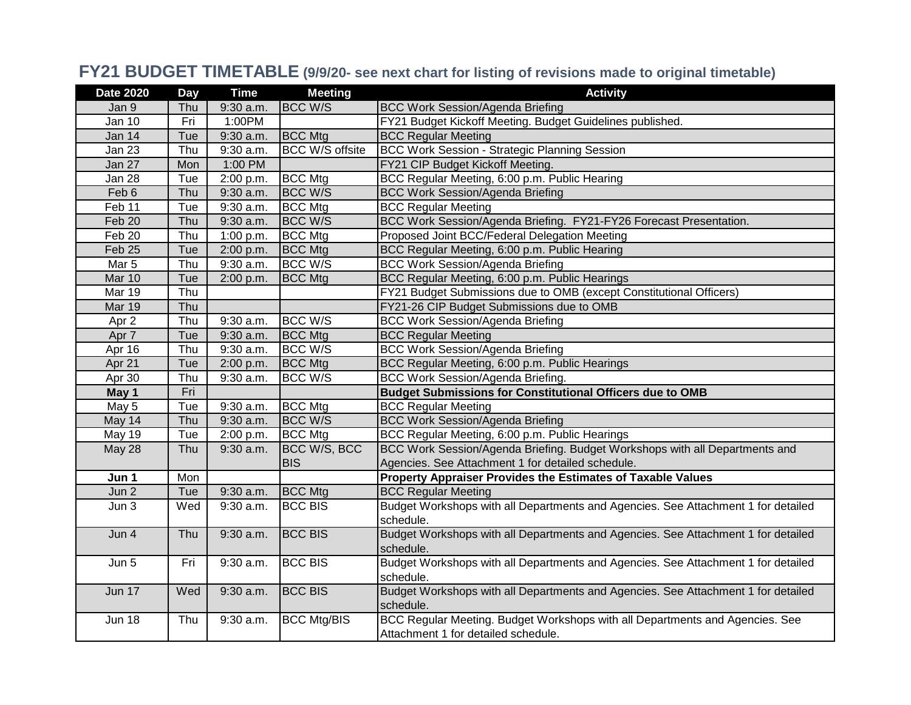## **FY21 BUDGET TIMETABLE (9/9/20- see next chart for listing of revisions made to original timetable)**

| <b>Date 2020</b> | <b>Day</b> | <b>Time</b> | <b>Meeting</b>         | <b>Activity</b>                                                                   |
|------------------|------------|-------------|------------------------|-----------------------------------------------------------------------------------|
| Jan 9            | Thu        | 9:30 a.m.   | <b>BCC W/S</b>         | <b>BCC Work Session/Agenda Briefing</b>                                           |
| <b>Jan 10</b>    | Fri        | 1:00PM      |                        | FY21 Budget Kickoff Meeting. Budget Guidelines published.                         |
| <b>Jan 14</b>    | Tue        | $9:30$ a.m. | <b>BCC Mtg</b>         | <b>BCC Regular Meeting</b>                                                        |
| Jan 23           | Thu        | 9:30 a.m.   | <b>BCC W/S offsite</b> | <b>BCC Work Session - Strategic Planning Session</b>                              |
| Jan 27           | Mon        | 1:00 PM     |                        | FY21 CIP Budget Kickoff Meeting.                                                  |
| Jan 28           | Tue        | 2:00 p.m.   | <b>BCC Mtg</b>         | BCC Regular Meeting, 6:00 p.m. Public Hearing                                     |
| Feb 6            | Thu        | 9:30 a.m.   | <b>BCC W/S</b>         | <b>BCC Work Session/Agenda Briefing</b>                                           |
| Feb 11           | Tue        | 9:30 a.m.   | <b>BCC Mtg</b>         | <b>BCC Regular Meeting</b>                                                        |
| Feb 20           | Thu        | 9:30 a.m.   | <b>BCC W/S</b>         | BCC Work Session/Agenda Briefing. FY21-FY26 Forecast Presentation.                |
| Feb 20           | Thu        | 1:00 p.m.   | <b>BCC Mtg</b>         | Proposed Joint BCC/Federal Delegation Meeting                                     |
| Feb 25           | Tue        | 2:00 p.m.   | <b>BCC</b> Mtg         | BCC Regular Meeting, 6:00 p.m. Public Hearing                                     |
| Mar 5            | Thu        | $9:30$ a.m. | <b>BCC W/S</b>         | <b>BCC Work Session/Agenda Briefing</b>                                           |
| Mar 10           | Tue        | 2:00 p.m.   | <b>BCC Mtg</b>         | BCC Regular Meeting, 6:00 p.m. Public Hearings                                    |
| <b>Mar 19</b>    | Thu        |             |                        | FY21 Budget Submissions due to OMB (except Constitutional Officers)               |
| <b>Mar 19</b>    | Thu        |             |                        | FY21-26 CIP Budget Submissions due to OMB                                         |
| Apr 2            | Thu        | 9:30 a.m.   | BCC W/S                | <b>BCC Work Session/Agenda Briefing</b>                                           |
| Apr 7            | Tue        | 9:30 a.m.   | <b>BCC</b> Mtg         | <b>BCC Regular Meeting</b>                                                        |
| Apr 16           | Thu        | $9:30$ a.m. | <b>BCC W/S</b>         | <b>BCC Work Session/Agenda Briefing</b>                                           |
| Apr 21           | Tue        | 2:00 p.m.   | <b>BCC</b> Mtg         | BCC Regular Meeting, 6:00 p.m. Public Hearings                                    |
| Apr 30           | Thu        | 9:30 a.m.   | BCC W/S                | <b>BCC Work Session/Agenda Briefing.</b>                                          |
| May 1            | Fri        |             |                        | <b>Budget Submissions for Constitutional Officers due to OMB</b>                  |
| May 5            | Tue        | 9:30 a.m.   | <b>BCC Mtg</b>         | <b>BCC Regular Meeting</b>                                                        |
| May 14           | Thu        | 9:30 a.m.   | <b>BCC W/S</b>         | <b>BCC Work Session/Agenda Briefing</b>                                           |
| May 19           | Tue        | 2:00 p.m.   | <b>BCC Mtg</b>         | BCC Regular Meeting, 6:00 p.m. Public Hearings                                    |
| May 28           | Thu        | $9:30$ a.m. | BCC W/S, BCC           | BCC Work Session/Agenda Briefing. Budget Workshops with all Departments and       |
|                  |            |             | <b>BIS</b>             | Agencies. See Attachment 1 for detailed schedule.                                 |
| Jun 1            | Mon        |             |                        | Property Appraiser Provides the Estimates of Taxable Values                       |
| Jun 2            | Tue        | 9:30 a.m.   | <b>BCC Mtg</b>         | <b>BCC Regular Meeting</b>                                                        |
| Jun <sub>3</sub> | Wed        | $9:30$ a.m. | <b>BCC BIS</b>         | Budget Workshops with all Departments and Agencies. See Attachment 1 for detailed |
|                  |            |             |                        | schedule.                                                                         |
| Jun 4            | Thu        | 9:30 a.m.   | <b>BCC BIS</b>         | Budget Workshops with all Departments and Agencies. See Attachment 1 for detailed |
|                  |            |             |                        | schedule.                                                                         |
| Jun 5            | Fri        | 9:30 a.m.   | <b>BCC BIS</b>         | Budget Workshops with all Departments and Agencies. See Attachment 1 for detailed |
|                  |            |             |                        | schedule.                                                                         |
| <b>Jun 17</b>    | Wed        | 9:30 a.m.   | <b>BCC BIS</b>         | Budget Workshops with all Departments and Agencies. See Attachment 1 for detailed |
|                  |            |             |                        | schedule.                                                                         |
| <b>Jun 18</b>    | Thu        | 9:30 a.m.   | <b>BCC Mtg/BIS</b>     | BCC Regular Meeting. Budget Workshops with all Departments and Agencies. See      |
|                  |            |             |                        | Attachment 1 for detailed schedule.                                               |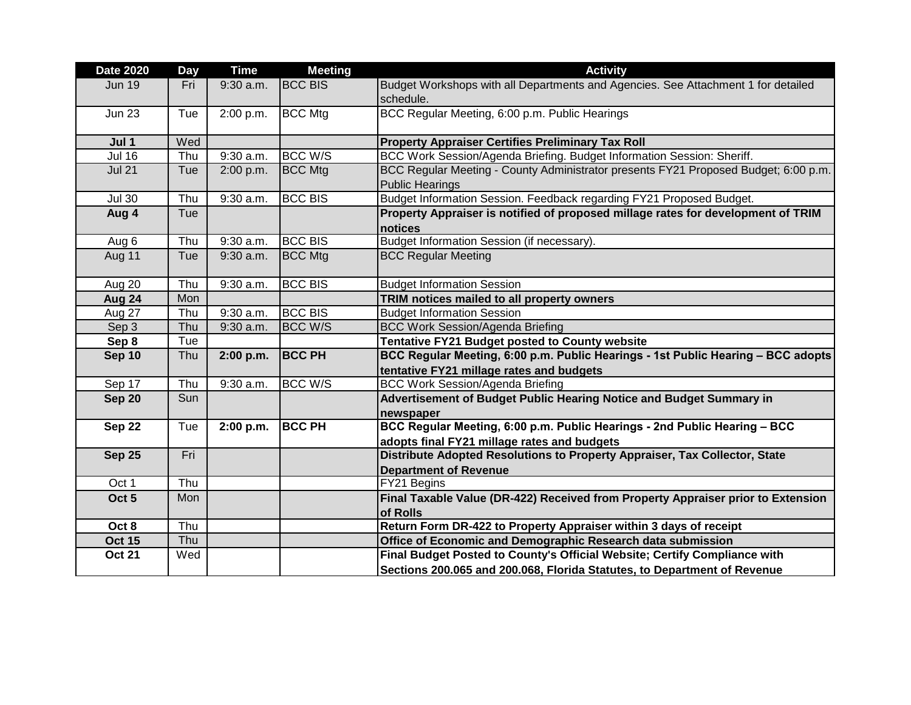| <b>Date 2020</b> | Day | <b>Time</b> | <b>Meeting</b> | <b>Activity</b>                                                                                               |
|------------------|-----|-------------|----------------|---------------------------------------------------------------------------------------------------------------|
| <b>Jun 19</b>    | Fri | 9:30 a.m.   | <b>BCC BIS</b> | Budget Workshops with all Departments and Agencies. See Attachment 1 for detailed<br>schedule.                |
| <b>Jun 23</b>    | Tue | 2:00 p.m.   | <b>BCC Mtg</b> | BCC Regular Meeting, 6:00 p.m. Public Hearings                                                                |
| Jul 1            | Wed |             |                | <b>Property Appraiser Certifies Preliminary Tax Roll</b>                                                      |
| <b>Jul 16</b>    | Thu | $9:30$ a.m. | <b>BCC W/S</b> | BCC Work Session/Agenda Briefing. Budget Information Session: Sheriff.                                        |
| <b>Jul 21</b>    | Tue | 2:00 p.m.   | <b>BCC Mtg</b> | BCC Regular Meeting - County Administrator presents FY21 Proposed Budget; 6:00 p.m.<br><b>Public Hearings</b> |
| <b>Jul 30</b>    | Thu | 9:30 a.m.   | <b>BCC BIS</b> | Budget Information Session. Feedback regarding FY21 Proposed Budget.                                          |
| Aug 4            | Tue |             |                | Property Appraiser is notified of proposed millage rates for development of TRIM<br>notices                   |
| Aug 6            | Thu | $9:30$ a.m. | <b>BCC BIS</b> | Budget Information Session (if necessary).                                                                    |
| Aug 11           | Tue | $9:30$ a.m. | <b>BCC Mtg</b> | <b>BCC Regular Meeting</b>                                                                                    |
| Aug 20           | Thu | $9:30$ a.m. | <b>BCC BIS</b> | <b>Budget Information Session</b>                                                                             |
| Aug 24           | Mon |             |                | TRIM notices mailed to all property owners                                                                    |
| Aug 27           | Thu | 9:30 a.m.   | <b>BCC BIS</b> | <b>Budget Information Session</b>                                                                             |
| Sep 3            | Thu | 9:30 a.m.   | <b>BCC W/S</b> | <b>BCC Work Session/Agenda Briefing</b>                                                                       |
| Sep 8            | Tue |             |                | Tentative FY21 Budget posted to County website                                                                |
| <b>Sep 10</b>    | Thu | 2:00 p.m.   | <b>BCC PH</b>  | BCC Regular Meeting, 6:00 p.m. Public Hearings - 1st Public Hearing - BCC adopts                              |
|                  |     |             |                | tentative FY21 millage rates and budgets                                                                      |
| Sep 17           | Thu | $9:30$ a.m. | <b>BCC W/S</b> | <b>BCC Work Session/Agenda Briefing</b>                                                                       |
| <b>Sep 20</b>    | Sun |             |                | Advertisement of Budget Public Hearing Notice and Budget Summary in                                           |
|                  |     |             |                | newspaper                                                                                                     |
| Sep 22           | Tue | 2:00 p.m.   | <b>BCC PH</b>  | BCC Regular Meeting, 6:00 p.m. Public Hearings - 2nd Public Hearing - BCC                                     |
|                  |     |             |                | adopts final FY21 millage rates and budgets                                                                   |
| <b>Sep 25</b>    | Fri |             |                | Distribute Adopted Resolutions to Property Appraiser, Tax Collector, State                                    |
|                  |     |             |                | <b>Department of Revenue</b>                                                                                  |
| Oct 1            | Thu |             |                | FY21 Begins                                                                                                   |
| Oct <sub>5</sub> | Mon |             |                | Final Taxable Value (DR-422) Received from Property Appraiser prior to Extension<br>of Rolls                  |
| Oct 8            | Thu |             |                | Return Form DR-422 to Property Appraiser within 3 days of receipt                                             |
| <b>Oct 15</b>    | Thu |             |                | Office of Economic and Demographic Research data submission                                                   |
| <b>Oct 21</b>    | Wed |             |                | Final Budget Posted to County's Official Website; Certify Compliance with                                     |
|                  |     |             |                | Sections 200.065 and 200.068, Florida Statutes, to Department of Revenue                                      |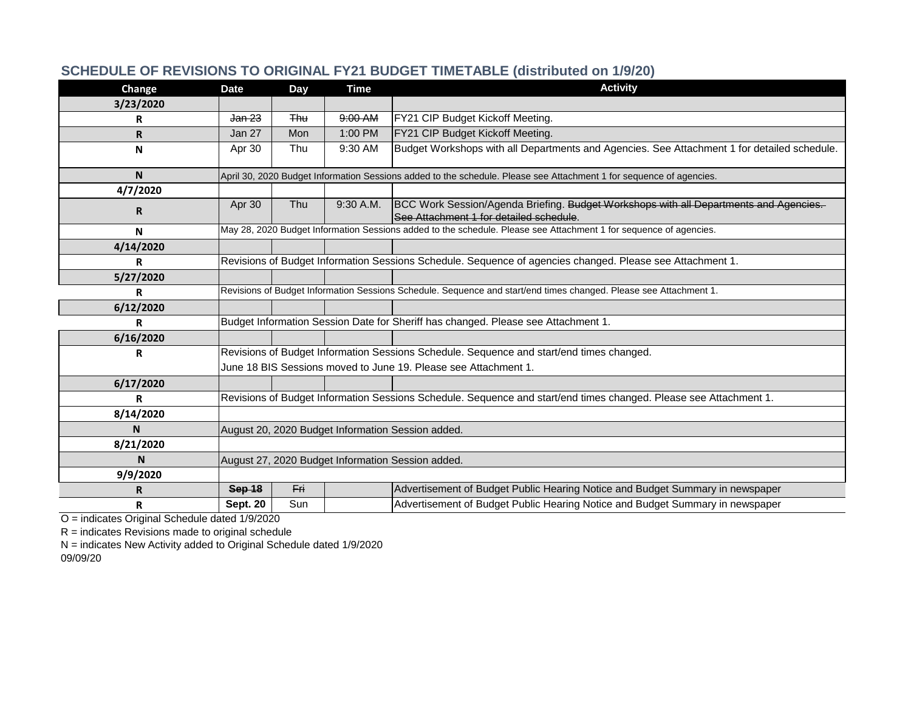| Change    | <b>Date</b>                                                                                                       | Day        | <b>Time</b> | <b>Activity</b>                                                                                                                  |
|-----------|-------------------------------------------------------------------------------------------------------------------|------------|-------------|----------------------------------------------------------------------------------------------------------------------------------|
| 3/23/2020 |                                                                                                                   |            |             |                                                                                                                                  |
| R         | Jan 23                                                                                                            | <b>Thu</b> | 9:00 AM     | FY21 CIP Budget Kickoff Meeting.                                                                                                 |
| R.        | Jan 27                                                                                                            | Mon        | 1:00 PM     | FY21 CIP Budget Kickoff Meeting.                                                                                                 |
| N         | Apr 30                                                                                                            | Thu        | 9:30 AM     | Budget Workshops with all Departments and Agencies. See Attachment 1 for detailed schedule.                                      |
| <b>N</b>  |                                                                                                                   |            |             | April 30, 2020 Budget Information Sessions added to the schedule. Please see Attachment 1 for sequence of agencies.              |
| 4/7/2020  |                                                                                                                   |            |             |                                                                                                                                  |
| R.        | Apr 30                                                                                                            | Thu        | $9:30$ A.M. | BCC Work Session/Agenda Briefing. Budget Workshops with all Departments and Agencies.<br>See Attachment 1 for detailed schedule. |
| N         |                                                                                                                   |            |             | May 28, 2020 Budget Information Sessions added to the schedule. Please see Attachment 1 for sequence of agencies.                |
| 4/14/2020 |                                                                                                                   |            |             |                                                                                                                                  |
| R         |                                                                                                                   |            |             | Revisions of Budget Information Sessions Schedule. Sequence of agencies changed. Please see Attachment 1.                        |
| 5/27/2020 |                                                                                                                   |            |             |                                                                                                                                  |
| R         | Revisions of Budget Information Sessions Schedule. Sequence and start/end times changed. Please see Attachment 1. |            |             |                                                                                                                                  |
| 6/12/2020 |                                                                                                                   |            |             |                                                                                                                                  |
| R         |                                                                                                                   |            |             | Budget Information Session Date for Sheriff has changed. Please see Attachment 1.                                                |
| 6/16/2020 |                                                                                                                   |            |             |                                                                                                                                  |
| R         |                                                                                                                   |            |             | Revisions of Budget Information Sessions Schedule. Sequence and start/end times changed.                                         |
|           | June 18 BIS Sessions moved to June 19. Please see Attachment 1.                                                   |            |             |                                                                                                                                  |
| 6/17/2020 |                                                                                                                   |            |             |                                                                                                                                  |
| R         |                                                                                                                   |            |             | Revisions of Budget Information Sessions Schedule. Sequence and start/end times changed. Please see Attachment 1.                |
| 8/14/2020 |                                                                                                                   |            |             |                                                                                                                                  |
| N         | August 20, 2020 Budget Information Session added.                                                                 |            |             |                                                                                                                                  |
| 8/21/2020 |                                                                                                                   |            |             |                                                                                                                                  |
| N         | August 27, 2020 Budget Information Session added.                                                                 |            |             |                                                                                                                                  |
| 9/9/2020  |                                                                                                                   |            |             |                                                                                                                                  |
| R         | Sep 18                                                                                                            | Fri        |             | Advertisement of Budget Public Hearing Notice and Budget Summary in newspaper                                                    |
| R         | <b>Sept. 20</b>                                                                                                   | Sun        |             | Advertisement of Budget Public Hearing Notice and Budget Summary in newspaper                                                    |

## **SCHEDULE OF REVISIONS TO ORIGINAL FY21 BUDGET TIMETABLE (distributed on 1/9/20)**

O = indicates Original Schedule dated 1/9/2020

 $R =$  indicates Revisions made to original schedule

N = indicates New Activity added to Original Schedule dated 1/9/2020 09/09/20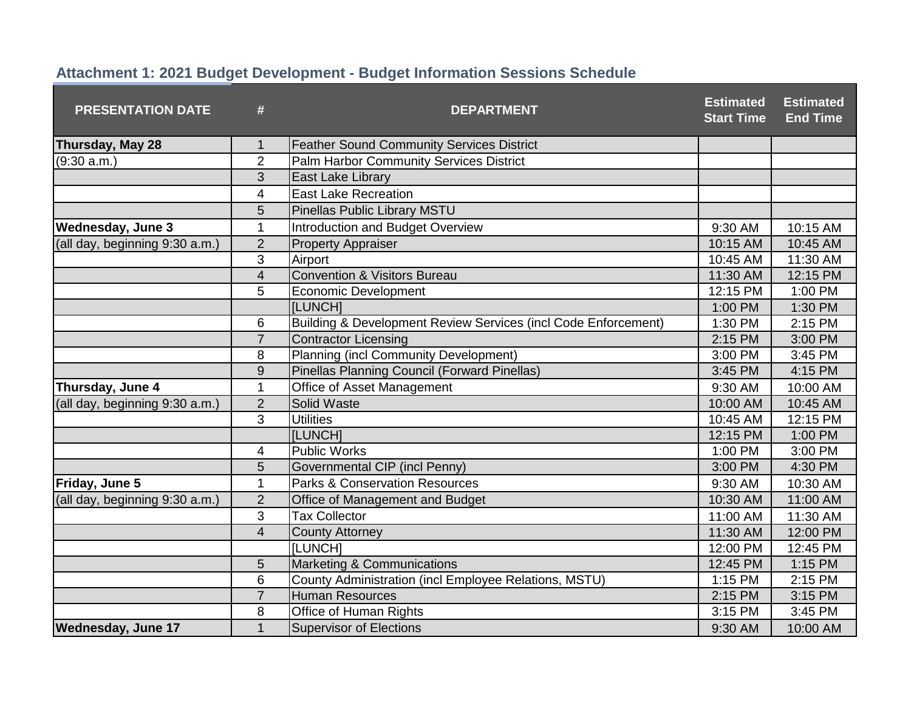| <b>PRESENTATION DATE</b>       | #                       | <b>DEPARTMENT</b>                                              | <b>Estimated</b><br><b>Start Time</b> | <b>Estimated</b><br><b>End Time</b> |
|--------------------------------|-------------------------|----------------------------------------------------------------|---------------------------------------|-------------------------------------|
| Thursday, May 28               | 1                       | <b>Feather Sound Community Services District</b>               |                                       |                                     |
| (9:30 a.m.)                    | $\overline{2}$          | Palm Harbor Community Services District                        |                                       |                                     |
|                                | 3                       | East Lake Library                                              |                                       |                                     |
|                                | $\overline{\mathbf{4}}$ | <b>East Lake Recreation</b>                                    |                                       |                                     |
|                                | 5                       | <b>Pinellas Public Library MSTU</b>                            |                                       |                                     |
| <b>Wednesday, June 3</b>       | 1                       | <b>Introduction and Budget Overview</b>                        | 9:30 AM                               | 10:15 AM                            |
| (all day, beginning 9:30 a.m.) | $\overline{2}$          | <b>Property Appraiser</b>                                      | 10:15 AM                              | 10:45 AM                            |
|                                | 3                       | Airport                                                        | 10:45 AM                              | 11:30 AM                            |
|                                | $\overline{4}$          | <b>Convention &amp; Visitors Bureau</b>                        | 11:30 AM                              | 12:15 PM                            |
|                                | 5                       | <b>Economic Development</b>                                    | 12:15 PM                              | 1:00 PM                             |
|                                |                         | [LUNCH]                                                        | 1:00 PM                               | 1:30 PM                             |
|                                | 6                       | Building & Development Review Services (incl Code Enforcement) | 1:30 PM                               | 2:15 PM                             |
|                                | $\overline{7}$          | <b>Contractor Licensing</b>                                    | 2:15 PM                               | 3:00 PM                             |
|                                | 8                       | <b>Planning (incl Community Development)</b>                   | 3:00 PM                               | 3:45 PM                             |
|                                | $\overline{9}$          | Pinellas Planning Council (Forward Pinellas)                   | 3:45 PM                               | 4:15 PM                             |
| Thursday, June 4               | $\mathbf{1}$            | Office of Asset Management                                     | 9:30 AM                               | 10:00 AM                            |
| (all day, beginning 9:30 a.m.) | $\overline{2}$          | Solid Waste                                                    | 10:00 AM                              | 10:45 AM                            |
|                                | 3                       | <b>Utilities</b>                                               | 10:45 AM                              | 12:15 PM                            |
|                                |                         | [LUNCH]                                                        | 12:15 PM                              | 1:00 PM                             |
|                                | 4                       | <b>Public Works</b>                                            | 1:00 PM                               | 3:00 PM                             |
|                                | 5                       | Governmental CIP (incl Penny)                                  | 3:00 PM                               | 4:30 PM                             |
| Friday, June 5                 | $\mathbf{1}$            | <b>Parks &amp; Conservation Resources</b>                      | 9:30 AM                               | 10:30 AM                            |
| (all day, beginning 9:30 a.m.) | $\overline{2}$          | Office of Management and Budget                                | 10:30 AM                              | 11:00 AM                            |
|                                | 3                       | <b>Tax Collector</b>                                           | 11:00 AM                              | 11:30 AM                            |
|                                | $\overline{4}$          | <b>County Attorney</b>                                         | 11:30 AM                              | 12:00 PM                            |
|                                |                         | <b>[LUNCH]</b>                                                 | 12:00 PM                              | 12:45 PM                            |
|                                | 5                       | Marketing & Communications                                     | 12:45 PM                              | 1:15 PM                             |
|                                | $6\phantom{1}6$         | County Administration (incl Employee Relations, MSTU)          | 1:15 PM                               | 2:15 PM                             |
|                                | $\overline{7}$          | <b>Human Resources</b>                                         | 2:15 PM                               | 3:15 PM                             |
|                                | 8                       | Office of Human Rights                                         | 3:15 PM                               | 3:45 PM                             |
| <b>Wednesday, June 17</b>      | $\mathbf{1}$            | <b>Supervisor of Elections</b>                                 | 9:30 AM                               | 10:00 AM                            |

## **Attachment 1: 2021 Budget Development - Budget Information Sessions Schedule**